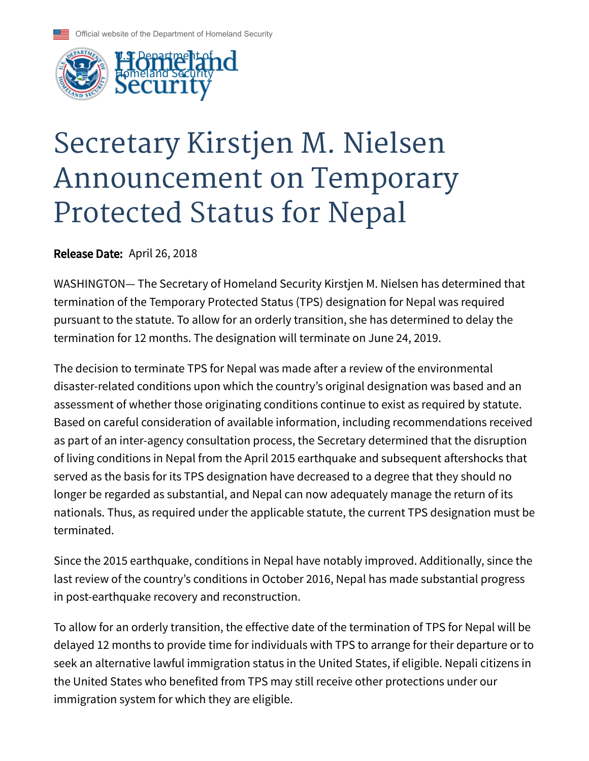



## Secretary Kirstjen M. Nielsen Announcement on Temporary Protected Status for Nepal

Release Date: April 26, 2018

WASHINGTON— The Secretary of Homeland Security Kirstjen M. Nielsen has determined that termination of the Temporary Protected Status (TPS) designation for Nepal was required pursuant to the statute. To allow for an orderly transition, she has determined to delay the termination for 12 months. The designation will terminate on June 24, 2019.

The decision to terminate TPS for Nepal was made after a review of the environmental disaster-related conditions upon which the country's original designation was based and an assessment of whether those originating conditions continue to exist as required by statute. Based on careful consideration of available information, including recommendations received as part of an inter-agency consultation process, the Secretary determined that the disruption of living conditions in Nepal from the April 2015 earthquake and subsequent aftershocks that served as the basis for its TPS designation have decreased to a degree that they should no longer be regarded as substantial, and Nepal can now adequately manage the return of its nationals. Thus, as required under the applicable statute, the current TPS designation must be terminated.

Since the 2015 earthquake, conditions in Nepal have notably improved. Additionally, since the last review of the country's conditions in October 2016, Nepal has made substantial progress in post-earthquake recovery and reconstruction.

To allow for an orderly transition, the effective date of the termination of TPS for Nepal will be delayed 12 months to provide time for individuals with TPS to arrange for their departure or to seek an alternative lawful immigration status in the United States, if eligible. Nepali citizens in the United States who benefited from TPS may still receive other protections under our immigration system for which they are eligible.